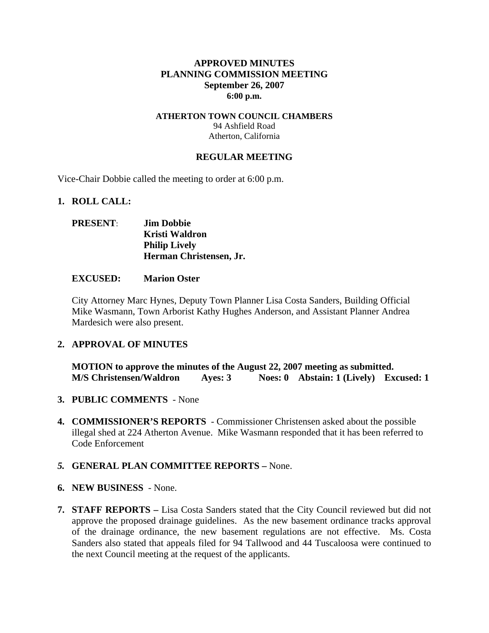### **APPROVED MINUTES PLANNING COMMISSION MEETING September 26, 2007 6:00 p.m.**

#### **ATHERTON TOWN COUNCIL CHAMBERS**  94 Ashfield Road Atherton, California

#### **REGULAR MEETING**

Vice-Chair Dobbie called the meeting to order at 6:00 p.m.

#### **1. ROLL CALL:**

### **PRESENT**: **Jim Dobbie Kristi Waldron Philip Lively Herman Christensen, Jr.**

#### **EXCUSED: Marion Oster**

City Attorney Marc Hynes, Deputy Town Planner Lisa Costa Sanders, Building Official Mike Wasmann, Town Arborist Kathy Hughes Anderson, and Assistant Planner Andrea Mardesich were also present.

#### **2. APPROVAL OF MINUTES**

**MOTION to approve the minutes of the August 22, 2007 meeting as submitted. M/S Christensen/Waldron Ayes: 3 Noes: 0 Abstain: 1 (Lively) Excused: 1** 

- **3. PUBLIC COMMENTS** None
- **4. COMMISSIONER'S REPORTS**  Commissioner Christensen asked about the possible illegal shed at 224 Atherton Avenue. Mike Wasmann responded that it has been referred to Code Enforcement

#### *5.* **GENERAL PLAN COMMITTEE REPORTS –** None.

- **6. NEW BUSINESS**  None.
- **7. STAFF REPORTS** Lisa Costa Sanders stated that the City Council reviewed but did not approve the proposed drainage guidelines. As the new basement ordinance tracks approval of the drainage ordinance, the new basement regulations are not effective. Ms. Costa Sanders also stated that appeals filed for 94 Tallwood and 44 Tuscaloosa were continued to the next Council meeting at the request of the applicants.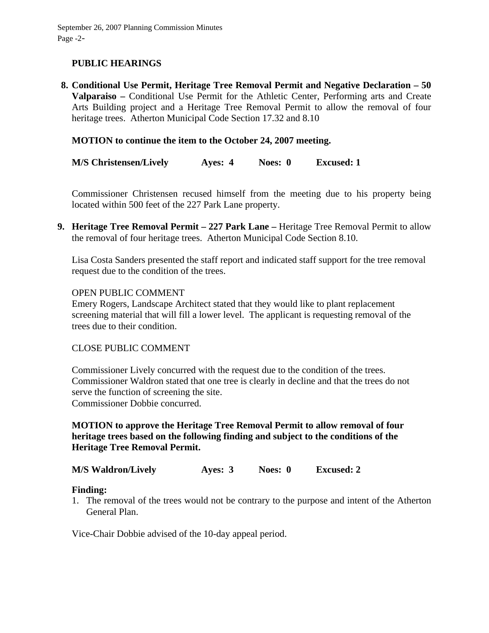# **PUBLIC HEARINGS**

**8. Conditional Use Permit, Heritage Tree Removal Permit and Negative Declaration – 50 Valparaiso –** Conditional Use Permit for the Athletic Center, Performing arts and Create Arts Building project and a Heritage Tree Removal Permit to allow the removal of four heritage trees. Atherton Municipal Code Section 17.32 and 8.10

### **MOTION to continue the item to the October 24, 2007 meeting.**

**M/S Christensen/Lively Ayes: 4 Noes: 0 Excused: 1** 

Commissioner Christensen recused himself from the meeting due to his property being located within 500 feet of the 227 Park Lane property.

**9. Heritage Tree Removal Permit – 227 Park Lane –** Heritage Tree Removal Permit to allow the removal of four heritage trees. Atherton Municipal Code Section 8.10.

Lisa Costa Sanders presented the staff report and indicated staff support for the tree removal request due to the condition of the trees.

#### OPEN PUBLIC COMMENT

Emery Rogers, Landscape Architect stated that they would like to plant replacement screening material that will fill a lower level. The applicant is requesting removal of the trees due to their condition.

#### CLOSE PUBLIC COMMENT

Commissioner Lively concurred with the request due to the condition of the trees. Commissioner Waldron stated that one tree is clearly in decline and that the trees do not serve the function of screening the site. Commissioner Dobbie concurred.

## **MOTION to approve the Heritage Tree Removal Permit to allow removal of four heritage trees based on the following finding and subject to the conditions of the Heritage Tree Removal Permit.**

**M/S Waldron/Lively Ayes: 3 Noes: 0 Excused: 2** 

#### **Finding:**

1. The removal of the trees would not be contrary to the purpose and intent of the Atherton General Plan.

Vice-Chair Dobbie advised of the 10-day appeal period.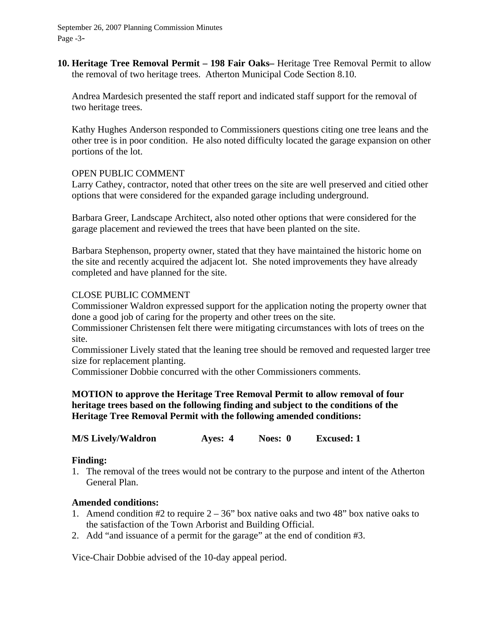September 26, 2007 Planning Commission Minutes Page -3-

**10. Heritage Tree Removal Permit – 198 Fair Oaks–** Heritage Tree Removal Permit to allow the removal of two heritage trees. Atherton Municipal Code Section 8.10.

Andrea Mardesich presented the staff report and indicated staff support for the removal of two heritage trees.

Kathy Hughes Anderson responded to Commissioners questions citing one tree leans and the other tree is in poor condition. He also noted difficulty located the garage expansion on other portions of the lot.

#### OPEN PUBLIC COMMENT

Larry Cathey, contractor, noted that other trees on the site are well preserved and citied other options that were considered for the expanded garage including underground.

Barbara Greer, Landscape Architect, also noted other options that were considered for the garage placement and reviewed the trees that have been planted on the site.

Barbara Stephenson, property owner, stated that they have maintained the historic home on the site and recently acquired the adjacent lot. She noted improvements they have already completed and have planned for the site.

#### CLOSE PUBLIC COMMENT

Commissioner Waldron expressed support for the application noting the property owner that done a good job of caring for the property and other trees on the site.

Commissioner Christensen felt there were mitigating circumstances with lots of trees on the site.

Commissioner Lively stated that the leaning tree should be removed and requested larger tree size for replacement planting.

Commissioner Dobbie concurred with the other Commissioners comments.

### **MOTION to approve the Heritage Tree Removal Permit to allow removal of four heritage trees based on the following finding and subject to the conditions of the Heritage Tree Removal Permit with the following amended conditions:**

**M/S Lively/Waldron Ayes: 4 Noes: 0 Excused: 1** 

#### **Finding:**

1. The removal of the trees would not be contrary to the purpose and intent of the Atherton General Plan.

#### **Amended conditions:**

- 1. Amend condition #2 to require  $2 36$ " box native oaks and two 48" box native oaks to the satisfaction of the Town Arborist and Building Official.
- 2. Add "and issuance of a permit for the garage" at the end of condition #3.

Vice-Chair Dobbie advised of the 10-day appeal period.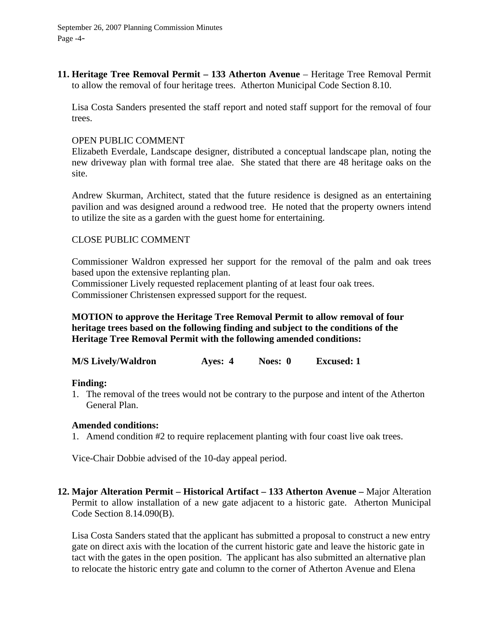September 26, 2007 Planning Commission Minutes Page -4-

**11. Heritage Tree Removal Permit – 133 Atherton Avenue** – Heritage Tree Removal Permit to allow the removal of four heritage trees. Atherton Municipal Code Section 8.10.

Lisa Costa Sanders presented the staff report and noted staff support for the removal of four trees.

#### OPEN PUBLIC COMMENT

Elizabeth Everdale, Landscape designer, distributed a conceptual landscape plan, noting the new driveway plan with formal tree alae. She stated that there are 48 heritage oaks on the site.

Andrew Skurman, Architect, stated that the future residence is designed as an entertaining pavilion and was designed around a redwood tree. He noted that the property owners intend to utilize the site as a garden with the guest home for entertaining.

#### CLOSE PUBLIC COMMENT

Commissioner Waldron expressed her support for the removal of the palm and oak trees based upon the extensive replanting plan.

Commissioner Lively requested replacement planting of at least four oak trees. Commissioner Christensen expressed support for the request.

### **MOTION to approve the Heritage Tree Removal Permit to allow removal of four heritage trees based on the following finding and subject to the conditions of the Heritage Tree Removal Permit with the following amended conditions:**

**M/S Lively/Waldron Ayes: 4 Noes: 0 Excused: 1** 

#### **Finding:**

1. The removal of the trees would not be contrary to the purpose and intent of the Atherton General Plan.

#### **Amended conditions:**

1. Amend condition #2 to require replacement planting with four coast live oak trees.

Vice-Chair Dobbie advised of the 10-day appeal period.

**12. Major Alteration Permit – Historical Artifact – 133 Atherton Avenue –** Major Alteration Permit to allow installation of a new gate adjacent to a historic gate. Atherton Municipal Code Section 8.14.090(B).

Lisa Costa Sanders stated that the applicant has submitted a proposal to construct a new entry gate on direct axis with the location of the current historic gate and leave the historic gate in tact with the gates in the open position. The applicant has also submitted an alternative plan to relocate the historic entry gate and column to the corner of Atherton Avenue and Elena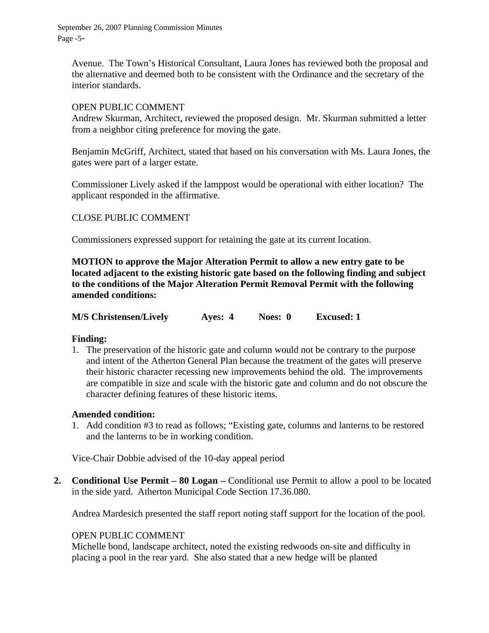September 26, 2007 Planning Commission Minutes Page -5-

Avenue. The Town's Historical Consultant, Laura Jones has reviewed both the proposal and the alternative and deemed both to be consistent with the Ordinance and the secretary of the interior standards.

#### OPEN PUBLIC COMMENT

Andrew Skurman, Architect, reviewed the proposed design. Mr. Skurman submitted a letter from a neighbor citing preference for moving the gate.

Benjamin McGriff, Architect, stated that based on his conversation with Ms. Laura Jones, the gates were part of a larger estate.

Commissioner Lively asked if the lamppost would be operational with either location? The applicant responded in the affirmative.

### CLOSE PUBLIC COMMENT

Commissioners expressed support for retaining the gate at its current location.

**MOTION to approve the Major Alteration Permit to allow a new entry gate to be located adjacent to the existing historic gate based on the following finding and subject to the conditions of the Major Alteration Permit Removal Permit with the following amended conditions:** 

|  |  | <b>M/S Christensen/Lively</b> | Ayes: 4 | Noes: 0 | <b>Excused: 1</b> |
|--|--|-------------------------------|---------|---------|-------------------|
|--|--|-------------------------------|---------|---------|-------------------|

#### **Finding:**

1. The preservation of the historic gate and column would not be contrary to the purpose and intent of the Atherton General Plan because the treatment of the gates will preserve their historic character recessing new improvements behind the old. The improvements are compatible in size and scale with the historic gate and column and do not obscure the character defining features of these historic items.

### **Amended condition:**

1. Add condition #3 to read as follows; "Existing gate, columns and lanterns to be restored and the lanterns to be in working condition.

Vice-Chair Dobbie advised of the 10-day appeal period

**2. Conditional Use Permit – 80 Logan – Conditional use Permit to allow a pool to be located** in the side yard. Atherton Municipal Code Section 17.36.080.

Andrea Mardesich presented the staff report noting staff support for the location of the pool.

#### OPEN PUBLIC COMMENT

Michelle bond, landscape architect, noted the existing redwoods on-site and difficulty in placing a pool in the rear yard. She also stated that a new hedge will be planted